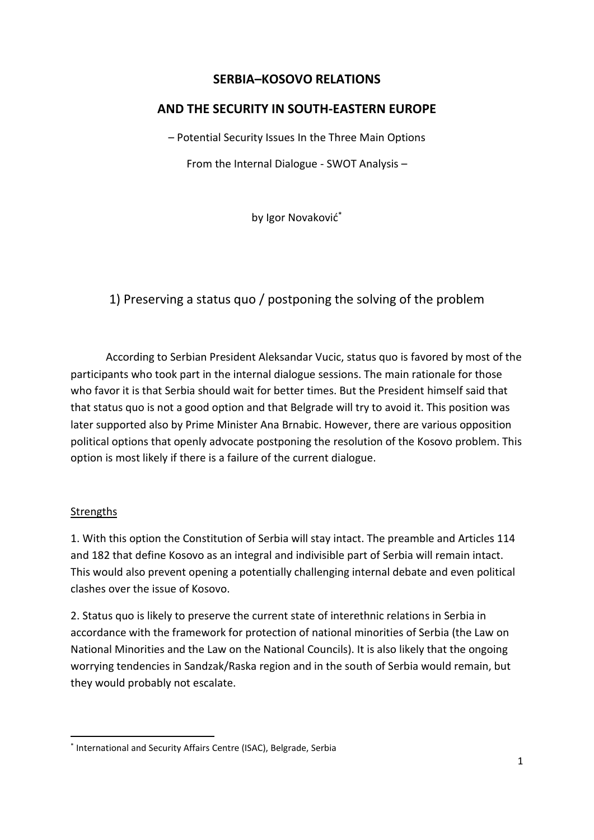## **SERBIA–KOSOVO RELATIONS**

## **AND THE SECURITY IN SOUTH-EASTERN EUROPE**

– Potential Security Issues In the Three Main Options

From the Internal Dialogue - SWOT Analysis –

by Igor Novaković\*

# 1) Preserving a status quo / postponing the solving of the problem

According to Serbian President Aleksandar Vucic, status quo is favored by most of the participants who took part in the internal dialogue sessions. The main rationale for those who favor it is that Serbia should wait for better times. But the President himself said that that status quo is not a good option and that Belgrade will try to avoid it. This position was later supported also by Prime Minister Ana Brnabic. However, there are various opposition political options that openly advocate postponing the resolution of the Kosovo problem. This option is most likely if there is a failure of the current dialogue.

### **Strengths**

1. With this option the Constitution of Serbia will stay intact. The preamble and Articles 114 and 182 that define Kosovo as an integral and indivisible part of Serbia will remain intact. This would also prevent opening a potentially challenging internal debate and even political clashes over the issue of Kosovo.

2. Status quo is likely to preserve the current state of interethnic relations in Serbia in accordance with the framework for protection of national minorities of Serbia (the Law on National Minorities and the Law on the National Councils). It is also likely that the ongoing worrying tendencies in Sandzak/Raska region and in the south of Serbia would remain, but they would probably not escalate.

<sup>\*</sup> International and Security Affairs Centre (ISAC), Belgrade, Serbia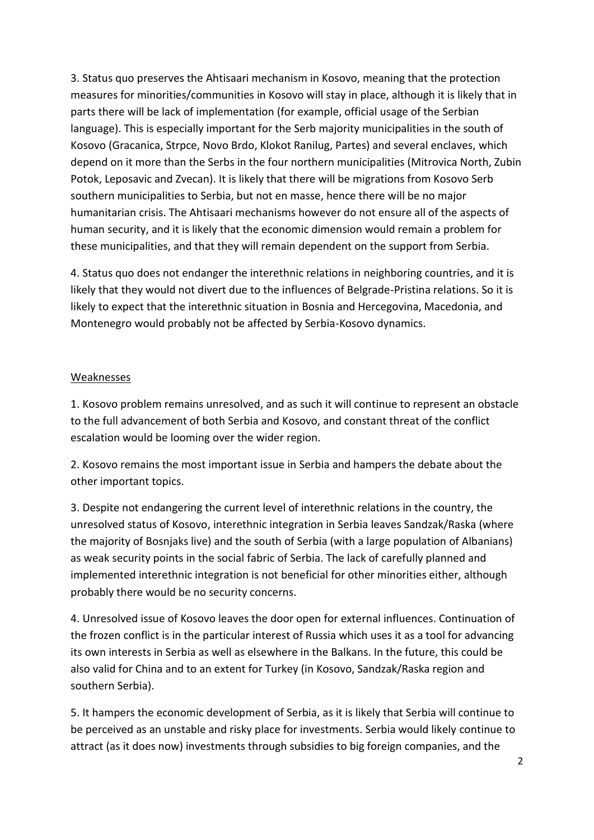3. Status quo preserves the Ahtisaari mechanism in Kosovo, meaning that the protection measures for minorities/communities in Kosovo will stay in place, although it is likely that in parts there will be lack of implementation (for example, official usage of the Serbian language). This is especially important for the Serb majority municipalities in the south of Kosovo (Gracanica, Strpce, Novo Brdo, Klokot Ranilug, Partes) and several enclaves, which depend on it more than the Serbs in the four northern municipalities (Mitrovica North, Zubin Potok, Leposavic and Zvecan). It is likely that there will be migrations from Kosovo Serb southern municipalities to Serbia, but not en masse, hence there will be no major humanitarian crisis. The Ahtisaari mechanisms however do not ensure all of the aspects of human security, and it is likely that the economic dimension would remain a problem for these municipalities, and that they will remain dependent on the support from Serbia.

4. Status quo does not endanger the interethnic relations in neighboring countries, and it is likely that they would not divert due to the influences of Belgrade-Pristina relations. So it is likely to expect that the interethnic situation in Bosnia and Hercegovina, Macedonia, and Montenegro would probably not be affected by Serbia-Kosovo dynamics.

#### Weaknesses

1. Kosovo problem remains unresolved, and as such it will continue to represent an obstacle to the full advancement of both Serbia and Kosovo, and constant threat of the conflict escalation would be looming over the wider region.

2. Kosovo remains the most important issue in Serbia and hampers the debate about the other important topics.

3. Despite not endangering the current level of interethnic relations in the country, the unresolved status of Kosovo, interethnic integration in Serbia leaves Sandzak/Raska (where the majority of Bosnjaks live) and the south of Serbia (with a large population of Albanians) as weak security points in the social fabric of Serbia. The lack of carefully planned and implemented interethnic integration is not beneficial for other minorities either, although probably there would be no security concerns.

4. Unresolved issue of Kosovo leaves the door open for external influences. Continuation of the frozen conflict is in the particular interest of Russia which uses it as a tool for advancing its own interests in Serbia as well as elsewhere in the Balkans. In the future, this could be also valid for China and to an extent for Turkey (in Kosovo, Sandzak/Raska region and southern Serbia).

5. It hampers the economic development of Serbia, as it is likely that Serbia will continue to be perceived as an unstable and risky place for investments. Serbia would likely continue to attract (as it does now) investments through subsidies to big foreign companies, and the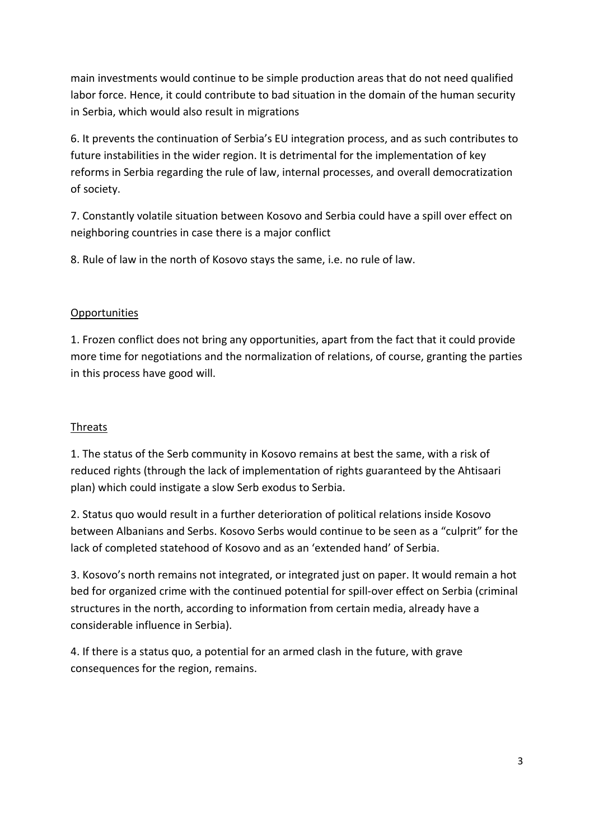main investments would continue to be simple production areas that do not need qualified labor force. Hence, it could contribute to bad situation in the domain of the human security in Serbia, which would also result in migrations

6. It prevents the continuation of Serbia's EU integration process, and as such contributes to future instabilities in the wider region. It is detrimental for the implementation of key reforms in Serbia regarding the rule of law, internal processes, and overall democratization of society.

7. Constantly volatile situation between Kosovo and Serbia could have a spill over effect on neighboring countries in case there is a major conflict

8. Rule of law in the north of Kosovo stays the same, i.e. no rule of law.

### **Opportunities**

1. Frozen conflict does not bring any opportunities, apart from the fact that it could provide more time for negotiations and the normalization of relations, of course, granting the parties in this process have good will.

### **Threats**

1. The status of the Serb community in Kosovo remains at best the same, with a risk of reduced rights (through the lack of implementation of rights guaranteed by the Ahtisaari plan) which could instigate a slow Serb exodus to Serbia.

2. Status quo would result in a further deterioration of political relations inside Kosovo between Albanians and Serbs. Kosovo Serbs would continue to be seen as a "culprit" for the lack of completed statehood of Kosovo and as an 'extended hand' of Serbia.

3. Kosovo's north remains not integrated, or integrated just on paper. It would remain a hot bed for organized crime with the continued potential for spill-over effect on Serbia (criminal structures in the north, according to information from certain media, already have a considerable influence in Serbia).

4. If there is a status quo, a potential for an armed clash in the future, with grave consequences for the region, remains.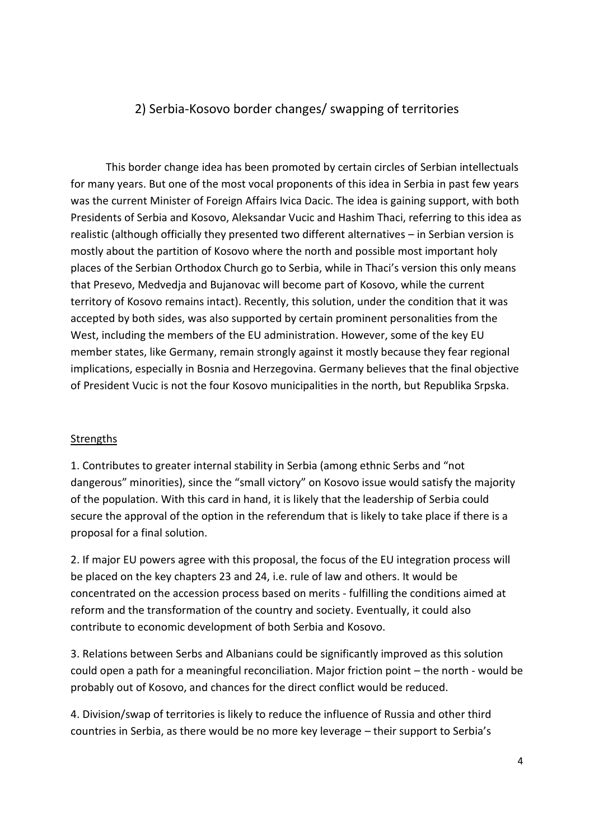## 2) Serbia-Kosovo border changes/ swapping of territories

This border change idea has been promoted by certain circles of Serbian intellectuals for many years. But one of the most vocal proponents of this idea in Serbia in past few years was the current Minister of Foreign Affairs Ivica Dacic. The idea is gaining support, with both Presidents of Serbia and Kosovo, Aleksandar Vucic and Hashim Thaci, referring to this idea as realistic (although officially they presented two different alternatives – in Serbian version is mostly about the partition of Kosovo where the north and possible most important holy places of the Serbian Orthodox Church go to Serbia, while in Thaci's version this only means that Presevo, Medvedja and Bujanovac will become part of Kosovo, while the current territory of Kosovo remains intact). Recently, this solution, under the condition that it was accepted by both sides, was also supported by certain prominent personalities from the West, including the members of the EU administration. However, some of the key EU member states, like Germany, remain strongly against it mostly because they fear regional implications, especially in Bosnia and Herzegovina. Germany believes that the final objective of President Vucic is not the four Kosovo municipalities in the north, but Republika Srpska.

#### **Strengths**

1. Contributes to greater internal stability in Serbia (among ethnic Serbs and "not dangerous" minorities), since the "small victory" on Kosovo issue would satisfy the majority of the population. With this card in hand, it is likely that the leadership of Serbia could secure the approval of the option in the referendum that is likely to take place if there is a proposal for a final solution.

2. If major EU powers agree with this proposal, the focus of the EU integration process will be placed on the key chapters 23 and 24, i.e. rule of law and others. It would be concentrated on the accession process based on merits - fulfilling the conditions aimed at reform and the transformation of the country and society. Eventually, it could also contribute to economic development of both Serbia and Kosovo.

3. Relations between Serbs and Albanians could be significantly improved as this solution could open a path for a meaningful reconciliation. Major friction point – the north - would be probably out of Kosovo, and chances for the direct conflict would be reduced.

4. Division/swap of territories is likely to reduce the influence of Russia and other third countries in Serbia, as there would be no more key leverage – their support to Serbia's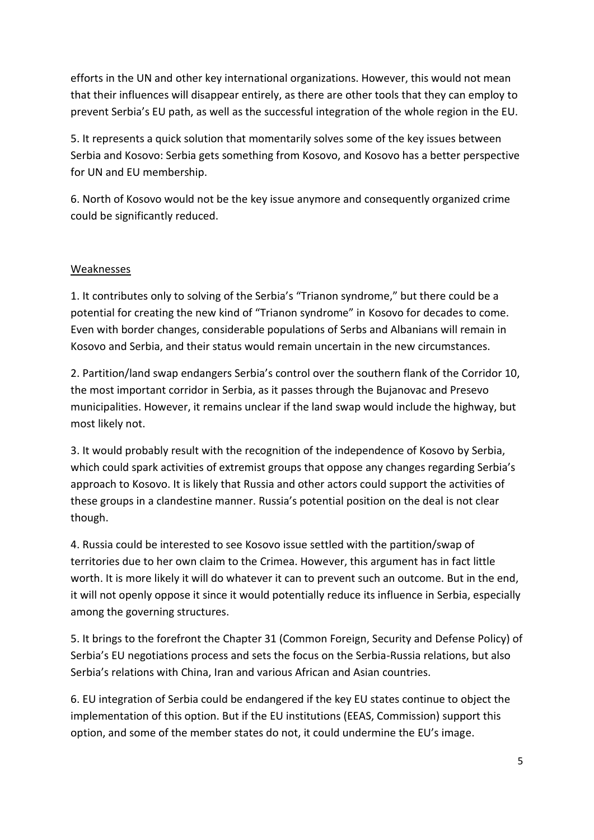efforts in the UN and other key international organizations. However, this would not mean that their influences will disappear entirely, as there are other tools that they can employ to prevent Serbia's EU path, as well as the successful integration of the whole region in the EU.

5. It represents a quick solution that momentarily solves some of the key issues between Serbia and Kosovo: Serbia gets something from Kosovo, and Kosovo has a better perspective for UN and EU membership.

6. North of Kosovo would not be the key issue anymore and consequently organized crime could be significantly reduced.

### Weaknesses

1. It contributes only to solving of the Serbia's "Trianon syndrome," but there could be a potential for creating the new kind of "Trianon syndrome" in Kosovo for decades to come. Even with border changes, considerable populations of Serbs and Albanians will remain in Kosovo and Serbia, and their status would remain uncertain in the new circumstances.

2. Partition/land swap endangers Serbia's control over the southern flank of the Corridor 10, the most important corridor in Serbia, as it passes through the Bujanovac and Presevo municipalities. However, it remains unclear if the land swap would include the highway, but most likely not.

3. It would probably result with the recognition of the independence of Kosovo by Serbia, which could spark activities of extremist groups that oppose any changes regarding Serbia's approach to Kosovo. It is likely that Russia and other actors could support the activities of these groups in a clandestine manner. Russia's potential position on the deal is not clear though.

4. Russia could be interested to see Kosovo issue settled with the partition/swap of territories due to her own claim to the Crimea. However, this argument has in fact little worth. It is more likely it will do whatever it can to prevent such an outcome. But in the end, it will not openly oppose it since it would potentially reduce its influence in Serbia, especially among the governing structures.

5. It brings to the forefront the Chapter 31 (Common Foreign, Security and Defense Policy) of Serbia's EU negotiations process and sets the focus on the Serbia-Russia relations, but also Serbia's relations with China, Iran and various African and Asian countries.

6. EU integration of Serbia could be endangered if the key EU states continue to object the implementation of this option. But if the EU institutions (EEAS, Commission) support this option, and some of the member states do not, it could undermine the EU's image.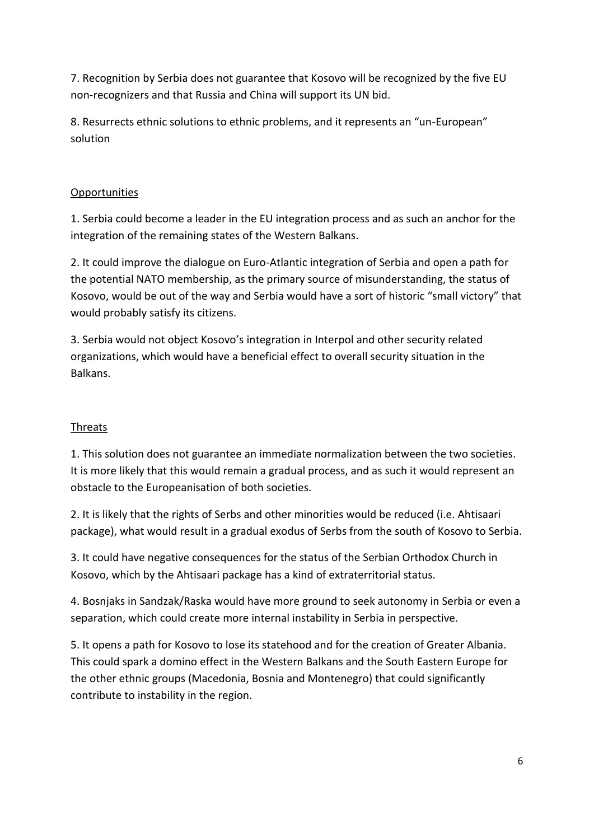7. Recognition by Serbia does not guarantee that Kosovo will be recognized by the five EU non-recognizers and that Russia and China will support its UN bid.

8. Resurrects ethnic solutions to ethnic problems, and it represents an "un-European" solution

## **Opportunities**

1. Serbia could become a leader in the EU integration process and as such an anchor for the integration of the remaining states of the Western Balkans.

2. It could improve the dialogue on Euro-Atlantic integration of Serbia and open a path for the potential NATO membership, as the primary source of misunderstanding, the status of Kosovo, would be out of the way and Serbia would have a sort of historic "small victory" that would probably satisfy its citizens.

3. Serbia would not object Kosovo's integration in Interpol and other security related organizations, which would have a beneficial effect to overall security situation in the **Balkans** 

## **Threats**

1. This solution does not guarantee an immediate normalization between the two societies. It is more likely that this would remain a gradual process, and as such it would represent an obstacle to the Europeanisation of both societies.

2. It is likely that the rights of Serbs and other minorities would be reduced (i.e. Ahtisaari package), what would result in a gradual exodus of Serbs from the south of Kosovo to Serbia.

3. It could have negative consequences for the status of the Serbian Orthodox Church in Kosovo, which by the Ahtisaari package has a kind of extraterritorial status.

4. Bosnjaks in Sandzak/Raska would have more ground to seek autonomy in Serbia or even a separation, which could create more internal instability in Serbia in perspective.

5. It opens a path for Kosovo to lose its statehood and for the creation of Greater Albania. This could spark a domino effect in the Western Balkans and the South Eastern Europe for the other ethnic groups (Macedonia, Bosnia and Montenegro) that could significantly contribute to instability in the region.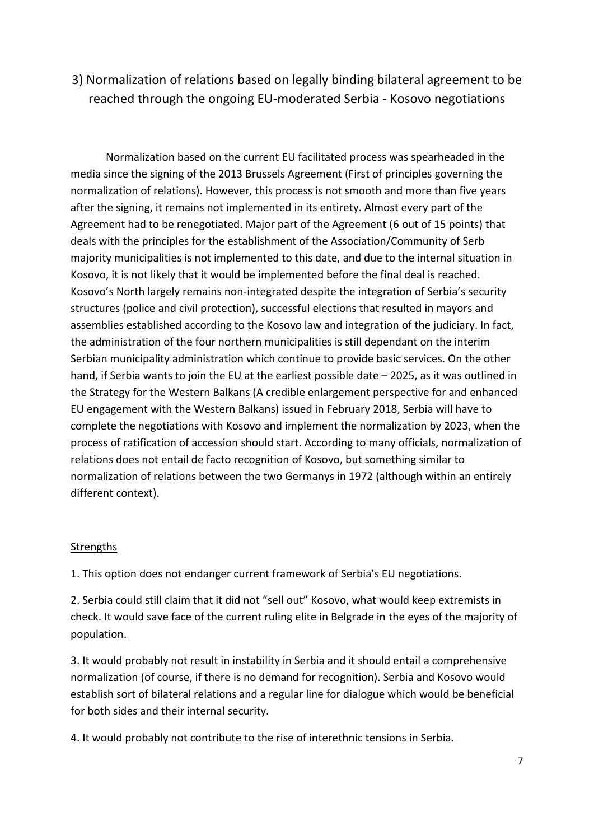3) Normalization of relations based on legally binding bilateral agreement to be reached through the ongoing EU-moderated Serbia - Kosovo negotiations

Normalization based on the current EU facilitated process was spearheaded in the media since the signing of the 2013 Brussels Agreement (First of principles governing the normalization of relations). However, this process is not smooth and more than five years after the signing, it remains not implemented in its entirety. Almost every part of the Agreement had to be renegotiated. Major part of the Agreement (6 out of 15 points) that deals with the principles for the establishment of the Association/Community of Serb majority municipalities is not implemented to this date, and due to the internal situation in Kosovo, it is not likely that it would be implemented before the final deal is reached. Kosovo's North largely remains non-integrated despite the integration of Serbia's security structures (police and civil protection), successful elections that resulted in mayors and assemblies established according to the Kosovo law and integration of the judiciary. In fact, the administration of the four northern municipalities is still dependant on the interim Serbian municipality administration which continue to provide basic services. On the other hand, if Serbia wants to join the EU at the earliest possible date - 2025, as it was outlined in the Strategy for the Western Balkans (A credible enlargement perspective for and enhanced EU engagement with the Western Balkans) issued in February 2018, Serbia will have to complete the negotiations with Kosovo and implement the normalization by 2023, when the process of ratification of accession should start. According to many officials, normalization of relations does not entail de facto recognition of Kosovo, but something similar to normalization of relations between the two Germanys in 1972 (although within an entirely different context).

### **Strengths**

1. This option does not endanger current framework of Serbia's EU negotiations.

2. Serbia could still claim that it did not "sell out" Kosovo, what would keep extremists in check. It would save face of the current ruling elite in Belgrade in the eyes of the majority of population.

3. It would probably not result in instability in Serbia and it should entail a comprehensive normalization (of course, if there is no demand for recognition). Serbia and Kosovo would establish sort of bilateral relations and a regular line for dialogue which would be beneficial for both sides and their internal security.

4. It would probably not contribute to the rise of interethnic tensions in Serbia.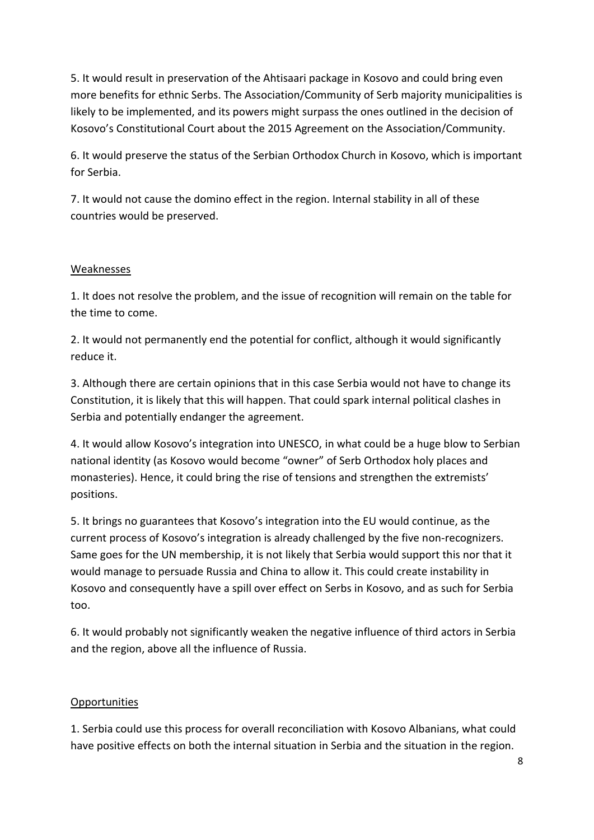5. It would result in preservation of the Ahtisaari package in Kosovo and could bring even more benefits for ethnic Serbs. The Association/Community of Serb majority municipalities is likely to be implemented, and its powers might surpass the ones outlined in the decision of Kosovo's Constitutional Court about the 2015 Agreement on the Association/Community.

6. It would preserve the status of the Serbian Orthodox Church in Kosovo, which is important for Serbia.

7. It would not cause the domino effect in the region. Internal stability in all of these countries would be preserved.

### Weaknesses

1. It does not resolve the problem, and the issue of recognition will remain on the table for the time to come.

2. It would not permanently end the potential for conflict, although it would significantly reduce it.

3. Although there are certain opinions that in this case Serbia would not have to change its Constitution, it is likely that this will happen. That could spark internal political clashes in Serbia and potentially endanger the agreement.

4. It would allow Kosovo's integration into UNESCO, in what could be a huge blow to Serbian national identity (as Kosovo would become "owner" of Serb Orthodox holy places and monasteries). Hence, it could bring the rise of tensions and strengthen the extremists' positions.

5. It brings no guarantees that Kosovo's integration into the EU would continue, as the current process of Kosovo's integration is already challenged by the five non-recognizers. Same goes for the UN membership, it is not likely that Serbia would support this nor that it would manage to persuade Russia and China to allow it. This could create instability in Kosovo and consequently have a spill over effect on Serbs in Kosovo, and as such for Serbia too.

6. It would probably not significantly weaken the negative influence of third actors in Serbia and the region, above all the influence of Russia.

### **Opportunities**

1. Serbia could use this process for overall reconciliation with Kosovo Albanians, what could have positive effects on both the internal situation in Serbia and the situation in the region.